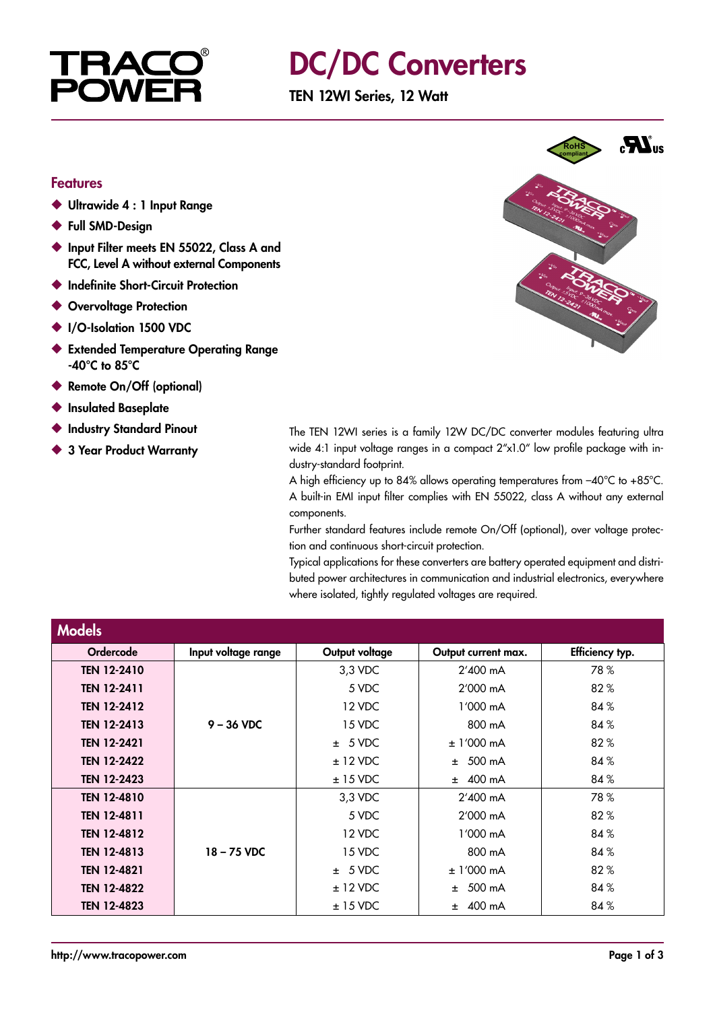

## DC/DC Converters

TEN 12WI Series, 12 Watt

#### Features

- ◆ Ultrawide 4 : 1 Input Range
- ◆ Full SMD-Design
- ◆ Input Filter meets EN 55022, Class A and FCC, Level A without external Components
- ◆ Indefinite Short-Circuit Protection
- ◆ Overvoltage Protection
- ◆ I/O-Isolation 1500 VDC
- ◆ Extended Temperature Operating Range -40°C to 85°C
- ◆ Remote On/Off (optional)
- **Insulated Baseplate**
- ◆ Industry Standard Pinout
- ◆ 3 Year Product Warranty



The TEN 12WI series is a family 12W DC/DC converter modules featuring ultra wide 4:1 input voltage ranges in a compact  $2'' \times 1.0''$  low profile package with industry-standard footprint.

A high efficiency up to 84% allows operating temperatures from –40°C to +85°C. A built-in EMI input filter complies with EN 55022, class A without any external components.

Further standard features include remote On/Off (optional), over voltage protection and continuous short-circuit protection.

Typical applications for these converters are battery operated equipment and distributed power architectures in communication and industrial electronics, everywhere where isolated, tightly regulated voltages are required.

| <b>Models</b>      |                     |                |                     |                 |
|--------------------|---------------------|----------------|---------------------|-----------------|
| Ordercode          | Input voltage range | Output voltage | Output current max. | Efficiency typ. |
| <b>TEN 12-2410</b> |                     | 3,3 VDC        | $2'400$ mA          | 78%             |
| <b>TEN 12-2411</b> |                     | 5 VDC          | $2'000 \text{ mA}$  | 82%             |
| <b>TEN 12-2412</b> |                     | 12 VDC         | $1'000 \text{ mA}$  | 84%             |
| <b>TEN 12-2413</b> | $9 - 36$ VDC        | 15 VDC         | 800 mA              | 84%             |
| <b>TEN 12-2421</b> |                     | ± 5 VDC        | $± 1'000$ mA        | 82%             |
| <b>TEN 12-2422</b> |                     | $± 12$ VDC     | $± 500$ mA          | 84%             |
| <b>TEN 12-2423</b> |                     | $± 15$ VDC     | $±$ 400 mA          | 84%             |
| <b>TEN 12-4810</b> |                     | 3,3 VDC        | $2'400$ mA          | 78%             |
| <b>TEN 12-4811</b> |                     | 5 VDC          | 2'000 mA            | 82%             |
| <b>TEN 12-4812</b> |                     | 12 VDC         | 1'000 mA            | 84%             |
| <b>TEN 12-4813</b> | $18 - 75$ VDC       | 15 VDC         | 800 mA              | 84%             |
| <b>TEN 12-4821</b> |                     | ± 5 VDC        | $± 1'000$ mA        | 82%             |
| <b>TEN 12-4822</b> |                     | $± 12$ VDC     | 500 mA<br>$+$       | 84%             |
| <b>TEN 12-4823</b> |                     | $± 15$ VDC     | 400 mA<br>±.        | 84%             |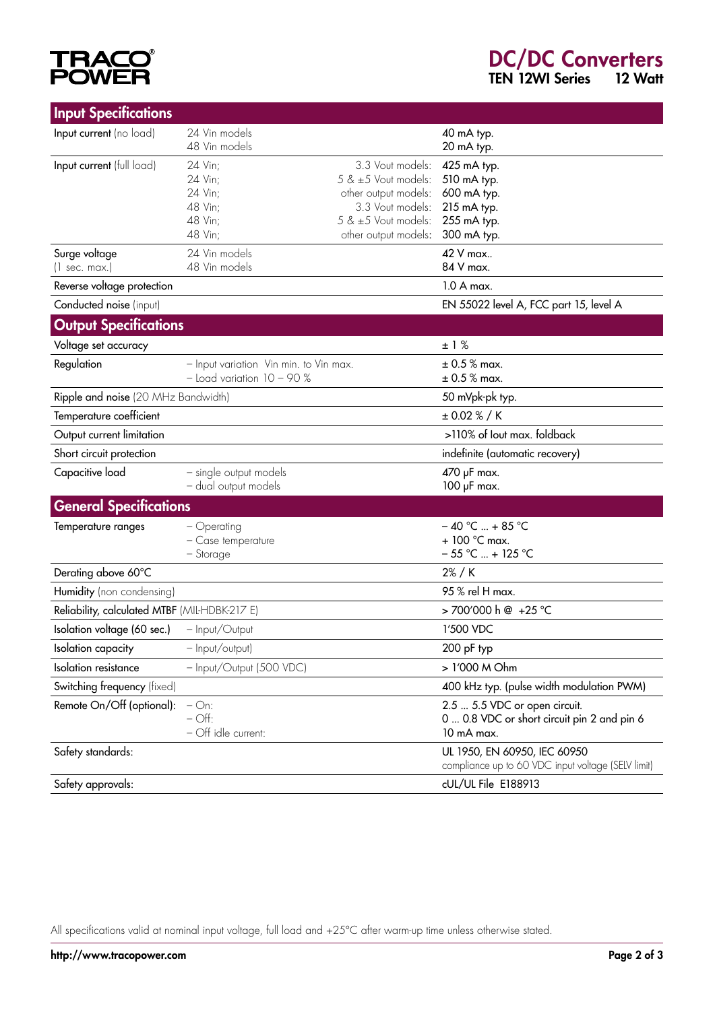# **TRACO®**<br>POWER

### DC/DC Converters TEN 12WI Series 12 Watt

| <b>Input Specifications</b>                   |                                        |                                                                                    |                                             |
|-----------------------------------------------|----------------------------------------|------------------------------------------------------------------------------------|---------------------------------------------|
| Input current (no load)                       | 24 Vin models                          |                                                                                    | 40 mA typ.                                  |
|                                               | 48 Vin models                          |                                                                                    | 20 mA typ.                                  |
| Input current (full load)                     | 24 Vin;                                | 3.3 Vout models:                                                                   | 425 mA typ.                                 |
|                                               | 24 Vin;                                | 5 & ±5 Vout models:                                                                | 510 mA typ.                                 |
|                                               | 24 Vin;<br>48 Vin;                     | other output models:<br>3.3 Vout models:                                           | 600 mA typ.<br>215 mA typ.                  |
|                                               | 48 Vin;                                | 5 & ±5 Vout models:                                                                | 255 mA typ.                                 |
|                                               | 48 Vin;                                | other output models:                                                               | 300 mA typ.                                 |
| Surge voltage                                 | 24 Vin models                          |                                                                                    | 42 V max                                    |
| $(1 \text{ sec. max.})$                       | 48 Vin models                          |                                                                                    | 84 V max.                                   |
| Reverse voltage protection                    |                                        |                                                                                    | 1.0 A max.                                  |
| Conducted noise (input)                       |                                        |                                                                                    | EN 55022 level A, FCC part 15, level A      |
| <b>Output Specifications</b>                  |                                        |                                                                                    |                                             |
| Voltage set accuracy                          |                                        |                                                                                    | ±1%                                         |
| Regulation                                    | - Input variation Vin min. to Vin max. |                                                                                    | $\pm$ 0.5 % max.                            |
|                                               | $-$ Load variation $10 - 90$ %         |                                                                                    | $\pm$ 0.5 % max.                            |
| Ripple and noise (20 MHz Bandwidth)           |                                        |                                                                                    | 50 mVpk-pk typ.                             |
| Temperature coefficient                       |                                        |                                                                                    | ± 0.02 % / K                                |
| Output current limitation                     |                                        |                                                                                    | >110% of lout max. foldback                 |
| Short circuit protection                      |                                        |                                                                                    | indefinite (automatic recovery)             |
| Capacitive load                               | - single output models                 |                                                                                    | 470 µF max.                                 |
|                                               | - dual output models                   |                                                                                    | 100 µF max.                                 |
| <b>General Specifications</b>                 |                                        |                                                                                    |                                             |
| Temperature ranges                            | $-$ Operating                          |                                                                                    | $-40$ °C  + 85 °C                           |
|                                               | - Case temperature                     |                                                                                    | $+100$ °C max.                              |
|                                               | - Storage                              |                                                                                    | $-55$ °C  + 125 °C                          |
| Derating above 60°C                           |                                        |                                                                                    | 2% / K                                      |
| Humidity (non condensing)                     |                                        |                                                                                    | 95 % rel H max.                             |
| Reliability, calculated MTBF (MIL-HDBK-217 E) |                                        |                                                                                    | >700'000 h @ +25 °C                         |
| Isolation voltage (60 sec.)                   | - Input/Output                         |                                                                                    | 1'500 VDC                                   |
| Isolation capacity                            | - Input/output)                        |                                                                                    | 200 pF typ                                  |
| <b>Isolation</b> resistance                   | - Input/Output (500 VDC)               |                                                                                    | > 1'000 M Ohm                               |
| Switching frequency (fixed)                   |                                        |                                                                                    | 400 kHz typ. (pulse width modulation PWM)   |
| Remote On/Off (optional):                     | $-$ On:                                |                                                                                    | 2.5  5.5 VDC or open circuit.               |
|                                               | $-$ Off:                               |                                                                                    | 0  0.8 VDC or short circuit pin 2 and pin 6 |
|                                               | - Off idle current:                    |                                                                                    | 10 mA max.                                  |
| Safety standards:                             |                                        | UL 1950, EN 60950, IEC 60950<br>compliance up to 60 VDC input voltage (SELV limit) |                                             |
|                                               |                                        |                                                                                    |                                             |
| Safety approvals:                             |                                        |                                                                                    | cUL/UL File E188913                         |

All specifications valid at nominal input voltage, full load and +25°C after warm-up time unless otherwise stated.